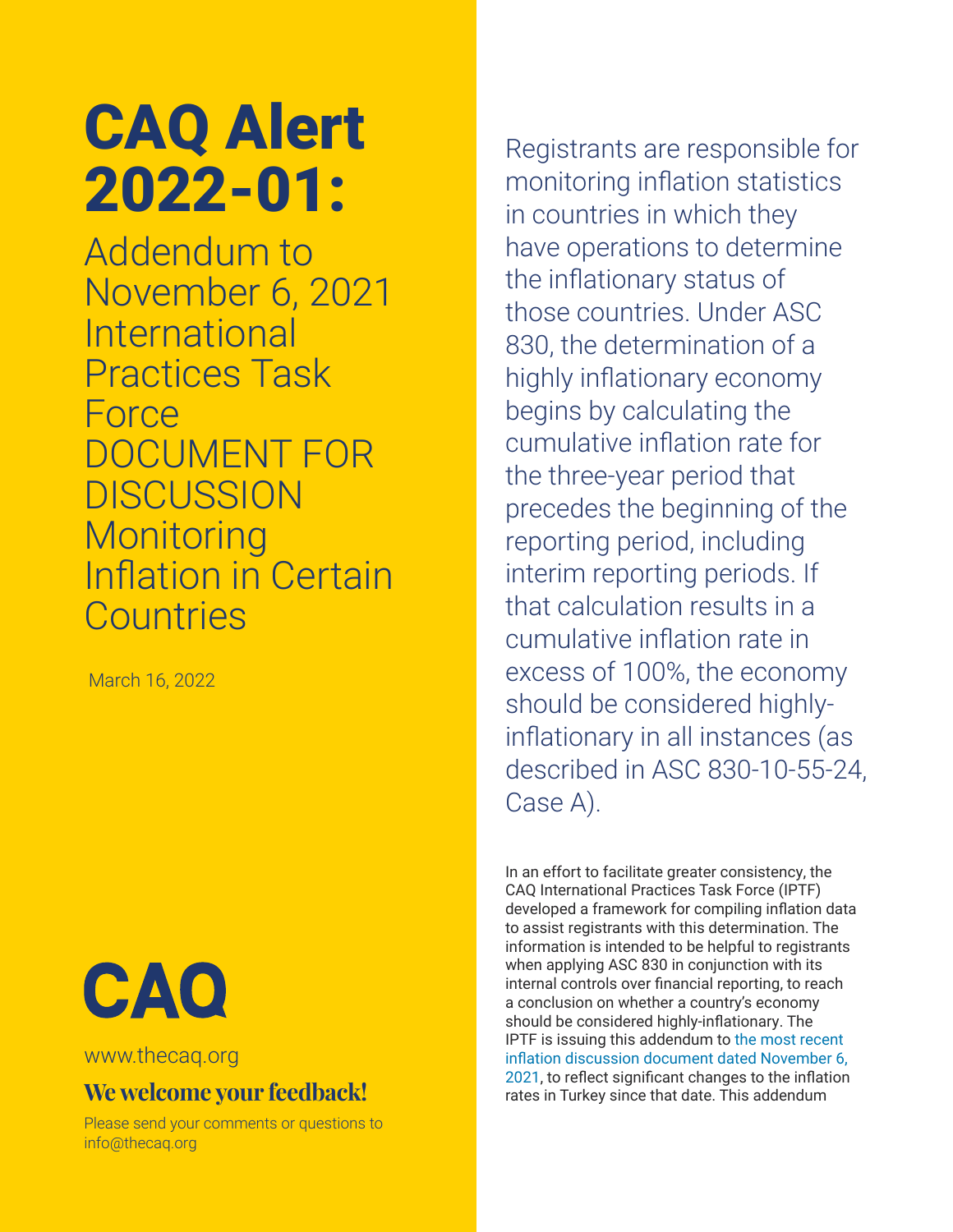## CAQ Alert 2022-01:

Addendum to November 6, 2021 International Practices Task Force DOCUMENT FOR **DISCUSSION Monitoring** Inflation in Certain **Countries** 

March 16, 2022



[www.thecaq.org](http://www.thecaq.org) 

## **We welcome your feedback!**

Please send your comments or questions to [info@thecaq.or](mailto:info%40thecaq.org?subject=CAQ%20Publication%20Feedback)g

Registrants are responsible for monitoring inflation statistics in countries in which they have operations to determine the inflationary status of those countries. Under ASC 830, the determination of a highly inflationary economy begins by calculating the cumulative inflation rate for the three-year period that precedes the beginning of the reporting period, including interim reporting periods. If that calculation results in a cumulative inflation rate in excess of 100%, the economy should be considered highlyinflationary in all instances (as described in ASC 830-10-55-24, Case A).

In an effort to facilitate greater consistency, the CAQ International Practices Task Force (IPTF) developed a framework for compiling inflation data to assist registrants with this determination. The information is intended to be helpful to registrants when applying ASC 830 in conjunction with its internal controls over financial reporting, to reach a conclusion on whether a country's economy should be considered highly-inflationary. The IPTF is issuing this addendum to [the most recent](https://4chrg8q086f2nb81x49f276l-wpengine.netdna-ssl.com/wp-content/uploads/2022/01/caq_IPTF-November-2021-Inflation-Document_2022-01.pdf)  [inflation discussion document dated November 6,](https://4chrg8q086f2nb81x49f276l-wpengine.netdna-ssl.com/wp-content/uploads/2022/01/caq_IPTF-November-2021-Inflation-Document_2022-01.pdf)  [2021](https://4chrg8q086f2nb81x49f276l-wpengine.netdna-ssl.com/wp-content/uploads/2022/01/caq_IPTF-November-2021-Inflation-Document_2022-01.pdf), to reflect significant changes to the inflation rates in Turkey since that date. This addendum